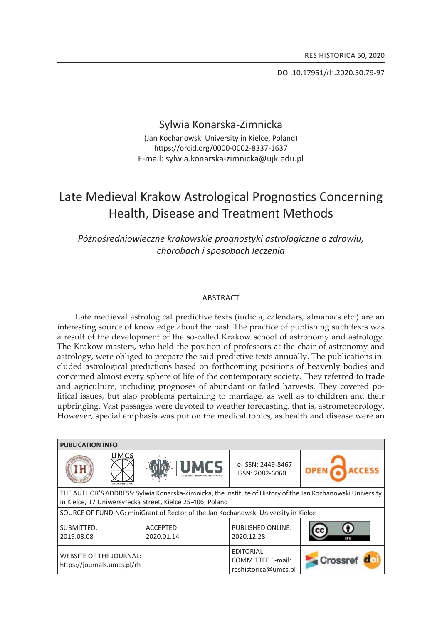Doi:10.17951/rh.2020.50.79-97

# Sylwia Konarska-zimnicka

(Jan Kochanowski University in Kielce, Poland) https://orcid.org/0000-0002-8337-1637 E-mail: sylwia.konarska-zimnicka@ujk.edu.pl

# Late Medieval Krakow Astrological Prognostics Concerning Health, Disease and Treatment Methods

*Późnośredniowieczne krakowskie prognostyki astrologiczne o zdrowiu, chorobach i sposobach leczenia*

## **ABSTRACT**

late medieval astrological predictive texts (iudicia, calendars, almanacs etc.) are an interesting source of knowledge about the past . The practice of publishing such texts was a result of the development of the so-called krakow school of astronomy and astrology. The Krakow masters, who held the position of professors at the chair of astronomy and astrology, were obliged to prepare the said predictive texts annually. The publications included astrological predictions based on forthcoming positions of heavenly bodies and concerned almost every sphere of life of the contemporary society . They referred to trade and agriculture, including prognoses of abundant or failed harvests. They covered political issues, but also problems pertaining to marriage, as well as to children and their upbringing. vast passages were devoted to weather forecasting, that is, astrometeorology. However, special emphasis was put on the medical topics, as health and disease were an

| <b>PUBLICATION INFO</b>                                                                                                                                                 |             |                         |                                                                      |         |
|-------------------------------------------------------------------------------------------------------------------------------------------------------------------------|-------------|-------------------------|----------------------------------------------------------------------|---------|
|                                                                                                                                                                         | <b>UMCS</b> | <b>UMCS</b>             | e-ISSN: 2449-8467<br>ISSN: 2082-6060                                 |         |
| THE AUTHOR'S ADDRESS: Sylwia Konarska-Zimnicka, the Institute of History of the Jan Kochanowski University<br>in Kielce, 17 Uniwersytecka Street, Kielce 25-406, Poland |             |                         |                                                                      |         |
| SOURCE OF FUNDING: miniGrant of Rector of the Jan Kochanowski University in Kielce                                                                                      |             |                         |                                                                      |         |
| SUBMITTED:<br>2019.08.08                                                                                                                                                |             | ACCEPTED:<br>2020.01.14 | PUBLISHED ONLINE:<br>2020.12.28                                      |         |
| <b>WEBSITE OF THE JOURNAL:</b><br>https://journals.umcs.pl/rh                                                                                                           |             |                         | <b>EDITORIAL</b><br><b>COMMITTEE E-mail:</b><br>reshistorica@umcs.pl | Crossre |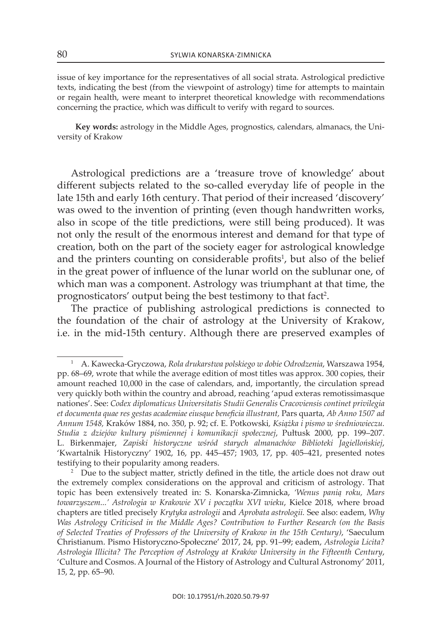issue of key importance for the representatives of all social strata . Astrological predictive texts, indicating the best (from the viewpoint of astrology) time for attempts to maintain or regain health, were meant to interpret theoretical knowledge with recommendations concerning the practice, which was difficult to verify with regard to sources.

**Key words:** astrology in the Middle ages, prognostics, calendars, almanacs, the University of krakow

Astrological predictions are a 'treasure trove of knowledge' about different subjects related to the so-called everyday life of people in the late 15th and early 16th century. That period of their increased 'discovery' was owed to the invention of printing (even though handwritten works, also in scope of the title predictions, were still being produced). it was not only the result of the enormous interest and demand for that type of creation, both on the part of the society eager for astrological knowledge and the printers counting on considerable profits<sup>1</sup>, but also of the belief in the great power of influence of the lunar world on the sublunar one, of which man was a component. Astrology was triumphant at that time, the prognosticators' output being the best testimony to that fact<sup>2</sup>.

The practice of publishing astrological predictions is connected to the foundation of the chair of astrology at the University of krakow, i.e. in the mid-15th century. although there are preserved examples of

<sup>1</sup>a. kawecka-Gryczowa, *Rola drukarstwa polskiego w dobie Odrodzenia*, warszawa 1954, pp. 68–69, wrote that while the average edition of most titles was approx. 300 copies, their amount reached 10,000 in the case of calendars, and, importantly, the circulation spread very quickly both within the country and abroad, reaching 'apud exteras remotissimasque nationes'. see: *Codex diplomaticus Universitatis Studii Generalis Cracoviensis continet privilegia et documenta quae res gestas academiae eiusque beneficia illustrant,* Pars quarta, *Ab Anno 1507 ad Annum 1548,* kraków 1884, no. 350, p. 92; cf. e. Potkowski*, Książka i pismo w średniowieczu. Studia z dziejów kultury piśmiennej i komunikacji społecznej*, Pułtusk 2000, pp. 199–207. l. Birkenmajer, *Zapiski historyczne wśród starych almanachów Biblioteki Jagiellońskiej*, 'kwartalnik Historyczny' 1902, 16, pp. 445–457; 1903, 17, pp. 405–421, presented notes testifying to their popularity among readers.

 $2$  Due to the subject matter, strictly defined in the title, the article does not draw out the extremely complex considerations on the approval and criticism of astrology. That topic has been extensively treated in: s. konarska-zimnicka, *'Wenus panią roku, Mars towarzyszem...' Astrologia w Krakowie XV i początku XVI wieku*, kielce 2018, where broad chapters are titled precisely *Krytyka astrologii* and *Aprobata astrologii.* see also: eadem, *Why Was Astrology Criticised in the Middle Ages? Contribution to Further Research (on the Basis of Selected Treaties of Professors of the University of Krakow in the 15th Century)*, 'saeculum christianum. Pismo Historyczno-społeczne' 2017, 24, pp. 91–99; eadem, *Astrologia Licita? Astrologia Illicita? The Perception of Astrology at Kraków University in the Fifteenth Century*, 'culture and cosmos. a journal of the History of astrology and cultural astronomy' 2011, 15, 2, pp. 65–90.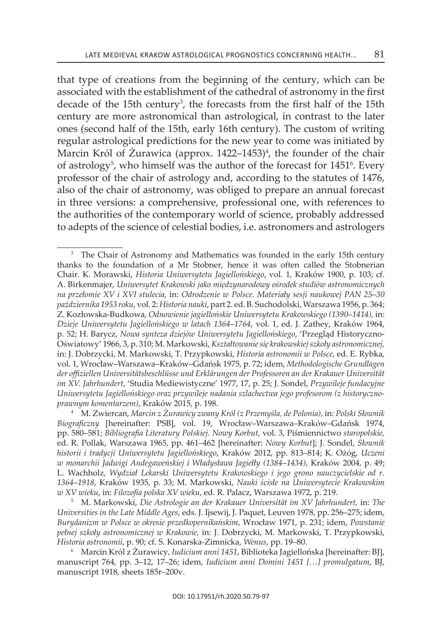that type of creations from the beginning of the century, which can be associated with the establishment of the cathedral of astronomy in the first decade of the 15th century<sup>3</sup>, the forecasts from the first half of the 15th century are more astronomical than astrological, in contrast to the later ones (second half of the 15th, early 16th century). The custom of writing regular astrological predictions for the new year to come was initiated by Marcin Król of Zurawica (approx. 1422–1453)<sup>4</sup>, the founder of the chair of astrology<sup>5</sup>, who himself was the author of the forecast for 1451<sup>6</sup>. Every professor of the chair of astrology and, according to the statutes of 1476, also of the chair of astronomy, was obliged to prepare an annual forecast in three versions: a comprehensive, professional one, with references to the authorities of the contemporary world of science, probably addressed to adepts of the science of celestial bodies, i.e. astronomers and astrologers

 $3$  The Chair of Astronomy and Mathematics was founded in the early 15th century thanks to the foundation of a Mr stobner, hence it was often called the stobnerian chair. k. Morawski, *Historia Uniwersytetu Jagiellońskiego*, vol. 1, kraków 1900, p. 103; cf. a. Birkenmajer, *Uniwersytet Krakowski jako międzynarodowy ośrodek studiów astronomicznych na przełomie XV i XVI stulecia,* in: *Odrodzenie w Polsce. Materiały sesji naukowej PAN 25*–*30 października 1953 roku*, vol. 2: *Historia nauki*, part 2. ed. B. suchodolski, warszawa 1956, p. 364; z. kozłowska-Budkowa*, Odnowienie jagiellońskie Uniwersytetu Krakowskiego (1390*–*1414),* in: *Dzieje Uniwersytetu Jagiellońskiego w latach 1364*–*1764*, vol. 1, ed. j. zathey, kraków 1964, p. 52; H. Barycz, *Nowa synteza dziejów Uniwersytetu Jagiellońskiego*, 'Przegląd Historycznooświatowy' 1966, 3, p. 310; M. Markowski, *Kształtowanie się krakowskiej szkoły astronomicznej,* in: j. Dobrzycki, M. Markowski, t. Przypkowski, *Historia astronomii w Polsce*, ed. e. Rybka, vol. 1, wrocław–warszawa–kraków–Gdańsk 1975, p. 72; idem, *Methodologische Grundlagen der offiziellen Universitätsbeschlüsse und Erklärungen der Professoren an der Krakauer Universität im XV. Jahrhundert*, 'studia Mediewistyczne' 1977, 17, p. 25; j. sondel, *Przywileje fundacyjne Uniwersytetu Jagiellońskiego oraz przywileje nadania szlachectwa jego profesorom (z historycznoprawnym komentarzem)*, kraków 2015, p. 198.

<sup>4</sup>M. zwiercan, *Marcin z Żurawicy zwany Król (z Przemyśla, de Polonia),* in: *Polski Słownik Biograficzny* [hereinafter: PsB], vol. 19, wrocław–warszawa–kraków–Gdańsk 1974, pp. 580–581; *Bibliografia Literatury Polskiej. Nowy Korbut*, vol. 3, Piśmiennictwo *staropolskie,* ed. R. Pollak, warszawa 1965, pp. 461–462 [hereinafter: *Nowy Korbut*]; j. sondel, *Słownik historii i tradycji Uniwersytetu Jagiellońskiego*, kraków 2012, pp. 813–814; k. ożóg, *Uczeni w monarchii Jadwigi Andegaweńskiej i Władysława Jagiełły (1384*–*1434)*, kraków 2004, p. 49; l. wachholz, *Wydział Lekarski Uniwersytetu Krakowskiego i jego grono nauczycielskie od r. 1364*–*1918*, kraków 1935, p. 33; M. Markowski, *Nauki ścisłe na Uniwersytecie Krakowskim w XV wieku*, in: *Filozofia polska XV wieku*, ed. R. Palacz, warszawa 1972, p. 219.

<sup>5</sup>M. Markowski, *Die Astrologie an der Krakauer Universität im XV Jahrhundert,* in: *The Universities in the Late Middle Ages*, eds. j. ijsewij, j. Paquet, leuven 1978, pp. 256–275; idem, *Burydanizm w Polsce w okresie przedkopernikańskim*, wrocław 1971, p. 231; idem, *Powstanie pełnej szkoły astronomicznej w Krakowie,* in: j. Dobrzycki, M. Markowski, t. Przypkowski, *Historia astronomii*, p. 90; cf. s. konarska-zimnicka, *Wenus*, pp. 19–80.

<sup>6</sup>Marcin król z Żurawicy, *Iudicium anni 1451*, Biblioteka jagiellońska [hereinafter: Bj], manuscript 764, pp. 3–12, 17–26; idem, *Iudicium anni Domini 1451 […] promulgatum*, Bj, manuscript 1918, sheets 185r–200v.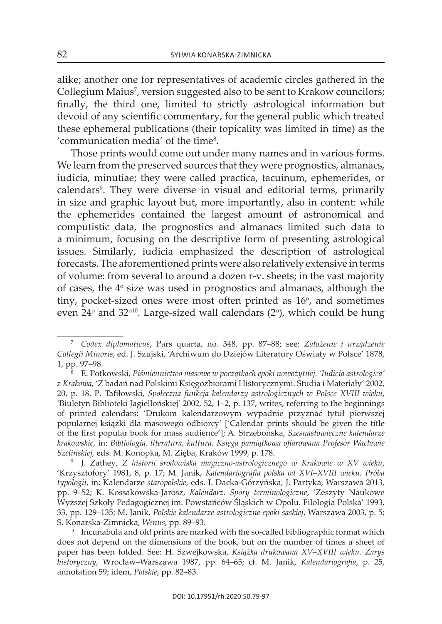alike; another one for representatives of academic circles gathered in the Collegium Maius<sup>7</sup>, version suggested also to be sent to Krakow councilors; finally, the third one, limited to strictly astrological information but devoid of any scientific commentary, for the general public which treated these ephemeral publications (their topicality was limited in time) as the 'communication media' of the time<sup>8</sup>.

Those prints would come out under many names and in various forms. We learn from the preserved sources that they were prognostics, almanacs, iudicia, minutiae; they were called practica, tacuinum, ephemerides, or calendars<sup>9</sup>. They were diverse in visual and editorial terms, primarily in size and graphic layout but, more importantly, also in content: while the ephemerides contained the largest amount of astronomical and computistic data, the prognostics and almanacs limited such data to a minimum, focusing on the descriptive form of presenting astrological issues. similarly, iudicia emphasized the description of astrological forecasts . The aforementioned prints were also relatively extensive in terms of volume: from several to around a dozen r-v. sheets; in the vast majority of cases, the  $4^{\circ}$  size was used in prognostics and almanacs, although the tiny, pocket-sized ones were most often printed as 16<sup>o</sup>, and sometimes even 24 $\degree$  and 32 $\degree$ <sup>10</sup>. Large-sized wall calendars (2 $\degree$ ), which could be hung

<sup>7</sup>*Codex diplomaticus*, Pars quarta, no. 348, pp. 87–88; see: *Założenie i urządzenie Collegii Minoris*, ed. j. szujski, 'archiwum do Dziejów literatury oświaty w Polsce' 1878, 1, pp. 97–98.

<sup>8</sup> e. Potkowski, *Piśmiennictwo masowe w początkach epoki nowożytnej. 'Iudicia astrologica' z Krakowa*, 'z badań nad Polskimi księgozbiorami Historycznymi. studia i Materiały' 2002, 20, p. 18. P. tafiłowski, *Społeczna funkcja kalendarzy astrologicznych w Polsce XVIII wieku*, 'Biuletyn Biblioteki jagiellońskiej' 2002, 52, 1–2, p. 137, writes, referring to the beginnings of printed calendars: 'Drukom kalendarzowym wypadnie przyznać tytuł pierwszej popularnej książki dla masowego odbiorcy' ['calendar prints should be given the title of the first popular book for mass audience']; a. strzebońska, *Szesnastowieczne kalendarze krakowskie*, in: *Bibliologia, literatura, kultura. Księga pamiątkowa ofiarowana Profesor Wacławie Szelińskiej,* eds. M. konopka, M. zięba, kraków 1999, p. 178.

<sup>9</sup>j. zathey, *Z historii środowiska magiczno-astrologicznego w Krakowie w XV wieku*, 'krzysztofory' 1981, 8, p. 17; M. janik, *Kalendariografia polska od XVI*–*XVIII wieku. Próba typologii*, in: kalendarze *staropolskie,* eds. i. Dacka-Górzyńska, j. Partyka, warszawa 2013, pp. 9–52; k. kossakowska-jarosz, *Kalendarz. Spory terminologiczne*, 'zeszyty naukowe wyższej szkoły Pedagogicznej im. Powstańców Śląskich w opolu. Filologia Polska' 1993, 33, pp. 129–135; M. janik, *Polskie kalendarze astrologiczne epoki saskiej*, warszawa 2003, p. 5; s. konarska-zimnicka, *Wenus*, pp. 89–93.

 $10$  Incunabula and old prints are marked with the so-called bibliographic format which does not depend on the dimensions of the book, but on the number of times a sheet of paper has been folded. see: H. szwejkowska, *Książka drukowana XV*–*XVIII wieku. Zarys historyczny*, wrocław–warszawa 1987, pp. 64–65; cf. M. janik, *Kalendariografia*, p. 25, annotation 59; idem, *Polskie*, pp. 82–83.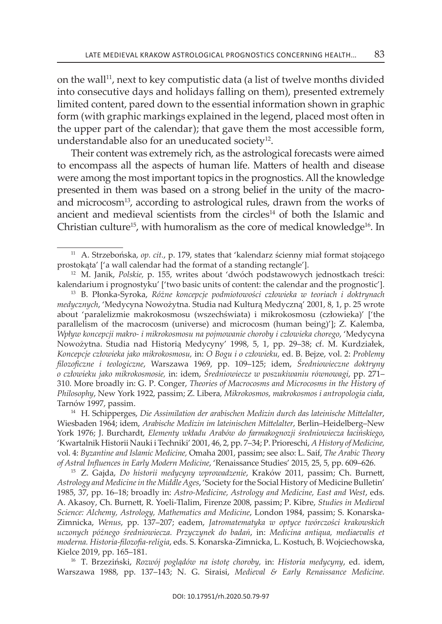on the wall<sup>11</sup>, next to key computistic data (a list of twelve months divided into consecutive days and holidays falling on them), presented extremely limited content, pared down to the essential information shown in graphic form (with graphic markings explained in the legend, placed most often in the upper part of the calendar); that gave them the most accessible form, understandable also for an uneducated society $12$ .

Their content was extremely rich, as the astrological forecasts were aimed to encompass all the aspects of human life. Matters of health and disease were among the most important topics in the prognostics . All the knowledge presented in them was based on a strong belief in the unity of the macroand microcosm<sup>13</sup>, according to astrological rules, drawn from the works of ancient and medieval scientists from the circles<sup>14</sup> of both the Islamic and Christian culture<sup>15</sup>, with humoralism as the core of medical knowledge<sup>16</sup>. In

<sup>14</sup> H. schipperges, *Die Assimilation der arabischen Medizin durch das lateinische Mittelalter*, Wiesbaden 1964; idem, Arabische Medizin im lateinischen Mittelalter, Berlin-Heidelberg-New york 1976; j. Burchardt, *Elementy wkładu Arabów do farmakognozji średniowiecza łacińskiego*, 'kwartalnik Historii nauki i techniki' 2001, 46, 2, pp. 7–34; P. Prioreschi, *A History of Medicine,* vol. 4: *Byzantine and Islamic Medicine,* omaha 2001, passim; see also: l. saif, *The Arabic Theory of Astral Influences in Early Modern Medicine*, 'Renaissance studies' 2015, 25, 5, pp. 609–626.

<sup>15</sup> z. Gajda, *Do historii medycyny wprowadzenie*, kraków 2011, passim; ch. Burnett, *Astrology and Medicine in the Middle Ages*, 'society for the social History of Medicine Bulletin' 1985, 37, pp. 16–18; broadly in: *Astro-Medicine, Astrology and Medicine, East and West*, eds. a. akasoy, ch. Burnett, R. yoeli-tlalim, Firenze 2008, passim; P. kibre, *Studies in Medieval Science: Alchemy, Astrology, Mathematics and Medicine*, london 1984, passim; s. konarskazimnicka, *Wenus*, pp. 137–207; eadem, *Jatromatematyka w optyce twórczości krakowskich uczonych późnego średniowiecza. Przyczynek do badań*, in: *Medicina antiqua, mediaevalis et moderna. Historia-filozofia-religia*, eds. s. konarska-zimnicka, l. kostuch, B. wojciechowska, kielce 2019, pp. 165–181.

<sup>16</sup> t. Brzeziński, *Rozwój poglądów na istotę choroby,* in: *Historia medycyny*, ed. idem, Warszawa 1988, pp. 137–143; N. G. Siraisi, *Medieval & Early Renaissance Medicine.* 

<sup>11</sup> a. strzebońska, *op. cit.*, p. 179, states that 'kalendarz ścienny miał format stojącego prostokąta' ['a wall calendar had the format of a standing rectangle'].

<sup>12</sup> M. janik, *Polskie,* p. 155, writes about 'dwóch podstawowych jednostkach treści: kalendarium i prognostyku' ['two basic units of content: the calendar and the prognostic'].

<sup>13</sup> B. Płonka-syroka, *Różne koncepcje podmiotowości człowieka w teoriach i doktrynach medycznych*, 'Medycyna nowożytna. studia nad kulturą Medyczną' 2001, 8, 1, p. 25 wrote about 'paralelizmie makrokosmosu (wszechświata) i mikrokosmosu (człowieka)' ['the parallelism of the macrocosm (universe) and microcosm (human being)']; z. kalemba, *Wpływ koncepcji makro- i mikrokosmosu na pojmowanie choroby i człowieka chorego*, 'Medycyna nowożytna. studia nad Historią Medycyny' 1998, 5, 1, pp. 29–38; cf. M. kurdziałek, *Koncepcje człowieka jako mikrokosmosu,* in: *O Bogu i o człowieku,* ed. B. Bejze, vol. 2: *Problemy filozoficzne i teologiczne*, warszawa 1969, pp. 109–125; idem, *Średniowieczne doktryny o człowieku jako mikrokosmosie,* in: idem, *Średniowiecze w poszukiwaniu równowagi*, pp. 271– 310. More broadly in: G. P. conger, *Theories of Macrocosms and Microcosms in the History of Philosophy*, new york 1922, passim; z. libera*, Mikrokosmos, makrokosmos i antropologia ciała*, Tarnów 1997, passim.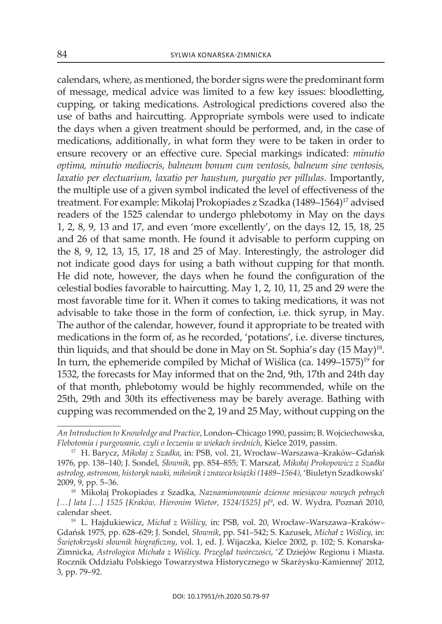calendars, where, as mentioned, the border signs were the predominant form of message, medical advice was limited to a few key issues: bloodletting, cupping, or taking medications. astrological predictions covered also the use of baths and haircutting. Appropriate symbols were used to indicate the days when a given treatment should be performed, and, in the case of medications, additionally, in what form they were to be taken in order to ensure recovery or an effective cure. special markings indicated: *minutio optima, minutio mediocris, balneum bonum cum ventosis, balneum sine ventosis, laxatio per electuarium, laxatio per haustum, purgatio per pillulas. Importantly,* the multiple use of a given symbol indicated the level of effectiveness of the treatment. For example: Mikołaj Prokopiades z Szadka (1489–1564)<sup>17</sup> advised readers of the 1525 calendar to undergo phlebotomy in May on the days 1, 2, 8, 9, 13 and 17, and even 'more excellently', on the days 12, 15, 18, 25 and 26 of that same month. He found it advisable to perform cupping on the 8, 9, 12, 13, 15, 17, 18 and 25 of May. interestingly, the astrologer did not indicate good days for using a bath without cupping for that month. He did note, however, the days when he found the configuration of the celestial bodies favorable to haircutting. May 1, 2, 10, 11, 25 and 29 were the most favorable time for it. when it comes to taking medications, it was not advisable to take those in the form of confection, i.e. thick syrup, in May. The author of the calendar, however, found it appropriate to be treated with medications in the form of, as he recorded, 'potations', i.e. diverse tinctures, thin liquids, and that should be done in May on St. Sophia's day  $(15 \text{ May})^{18}$ . In turn, the ephemeride compiled by Michał of Wiślica (ca. 1499–1575)<sup>19</sup> for 1532, the forecasts for May informed that on the 2nd, 9th, 17th and 24th day of that month, phlebotomy would be highly recommended, while on the 25th, 29th and 30th its effectiveness may be barely average. Bathing with cupping was recommended on the 2, 19 and 25 May, without cupping on the

*An Introduction to Knowledge and Practice*, london–chicago 1990, passim; B. wojciechowska, *Flebotomia i purgowanie, czyli o leczeniu w wiekach średnich*, kielce 2019, passim.

<sup>&</sup>lt;sup>17</sup> H. Barycz, Mikołaj z Szadka, in: PSB, vol. 21, Wrocław–Warszawa–Kraków–Gdańsk 1976, pp. 138–140; j. sondel, *Słownik*, pp. 854–855; t. Marszał, *Mikołaj Prokopowicz z Szadka astrolog, astronom, historyk nauki, miłośnik i znawca książki (1489*–*1564)*, 'Biuletyn szadkowski' 2009, 9, pp. 5–36.

<sup>18</sup> Mikołaj Prokopiades z szadka, *Naznamionowanie dzienne miesiącow nowych pełnych […] lata […] 1525 [Kraków, Hieronim Wietor, 1524/1525] plº*, ed. w. wydra, Poznań 2010, calendar sheet.

<sup>&</sup>lt;sup>19</sup> L. Hajdukiewicz, Michał z Wiślicy, in: PSB, vol. 20, Wrocław–Warszawa–Kraków– Gdańsk 1975, pp. 628–629; j. sondel, *Słownik*, pp. 541–542; s. kazusek, *Michał z Wiślicy,* in: *Świętokrzyski słownik biograficzny*, vol. 1, ed. j. wijaczka, kielce 2002, p. 102; s. konarskazimnicka, *Astrologica Michała z Wiślicy. Przegląd twórczości*, 'z Dziejów Regionu i Miasta. Rocznik oddziału Polskiego towarzystwa Historycznego w skarżysku-kamiennej' 2012, 3, pp. 79–92.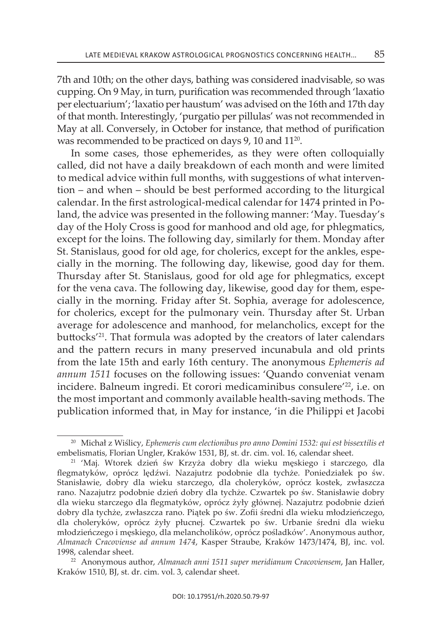7th and 10th; on the other days, bathing was considered inadvisable, so was cupping. on 9 May, in turn, purification was recommended through 'laxatio per electuarium'; 'laxatio per haustum' was advised on the 16th and 17th day of that month. interestingly, 'purgatio per pillulas' was not recommended in May at all. Conversely, in October for instance, that method of purification was recommended to be practiced on days 9, 10 and 11<sup>20</sup>.

In some cases, those ephemerides, as they were often colloquially called, did not have a daily breakdown of each month and were limited to medical advice within full months, with suggestions of what intervention – and when – should be best performed according to the liturgical calendar. in the first astrological-medical calendar for 1474 printed in Poland, the advice was presented in the following manner: 'May. Tuesday's day of the Holy Cross is good for manhood and old age, for phlegmatics, except for the loins. The following day, similarly for them. Monday after st. stanislaus, good for old age, for cholerics, except for the ankles, especially in the morning. The following day, likewise, good day for them. thursday after st. stanislaus, good for old age for phlegmatics, except for the vena cava. The following day, likewise, good day for them, especially in the morning. Friday after st. sophia, average for adolescence, for cholerics, except for the pulmonary vein. Thursday after St. Urban average for adolescence and manhood, for melancholics, except for the buttocks'21 . That formula was adopted by the creators of later calendars and the pattern recurs in many preserved incunabula and old prints from the late 15th and early 16th century . The anonymous *Ephemeris ad annum 1511* focuses on the following issues: 'Quando conveniat venam incidere. Balneum ingredi. Et corori medicaminibus consulere<sup>'22</sup>, i.e. on the most important and commonly available health-saving methods. The publication informed that, in May for instance, 'in die Philippi et jacobi

<sup>20</sup> Michał z wiślicy, *Ephemeris cum electionibus pro anno Domini 1532: qui est bissextilis et* embelismatis, Florian Ungler, kraków 1531, Bj, st. dr. cim. vol. 16, calendar sheet.

<sup>21</sup> 'Maj. wtorek dzień św krzyża dobry dla wieku męskiego i starczego, dla flegmatyków, oprócz lędźwi. nazajutrz podobnie dla tychże. Poniedziałek po św. stanisławie, dobry dla wieku starczego, dla choleryków, oprócz kostek, zwłaszcza rano. nazajutrz podobnie dzień dobry dla tychże. czwartek po św. stanisławie dobry dla wieku starczego dla flegmatyków, oprócz żyły głównej. Nazajutrz podobnie dzień dobry dla tychże, zwłaszcza rano. Piątek po św. zofii średni dla wieku młodzieńczego, dla choleryków, oprócz żyły płucnej. czwartek po św. Urbanie średni dla wieku młodzieńczego i męskiego, dla melancholików, oprócz pośladków'. anonymous author, *Almanach Cracoviense ad annum 1474*, kasper straube, kraków 1473/1474, Bj, inc. vol. 1998, calendar sheet.

<sup>&</sup>lt;sup>22</sup> Anonymous author, *Almanach anni 1511 super meridianum Cracoviensem*, Jan Haller, kraków 1510, Bj, st. dr. cim. vol. 3, calendar sheet.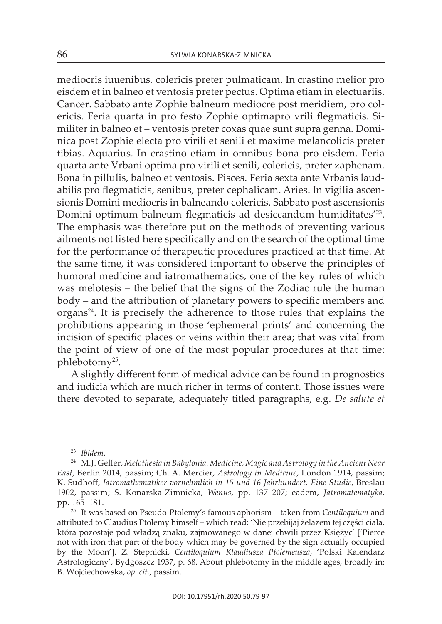mediocris iuuenibus, colericis preter pulmaticam. in crastino melior pro eisdem et in balneo et ventosis preter pectus. Optima etiam in electuariis. cancer. sabbato ante zophie balneum mediocre post meridiem, pro colericis. Feria quarta in pro festo zophie optimapro vrili flegmaticis. similiter in balneo et – ventosis preter coxas quae sunt supra genna. Dominica post zophie electa pro virili et senili et maxime melancolicis preter tibias. Aquarius. In crastino etiam in omnibus bona pro eisdem. Feria quarta ante vrbani optima pro virili et senili, colericis, preter zaphenam. Bona in pillulis, balneo et ventosis. Pisces. Feria sexta ante vrbanis laudabilis pro flegmaticis, senibus, preter cephalicam. Aries. In vigilia ascensionis Domini mediocris in balneando colericis . Sabbato post ascensionis Domini optimum balneum flegmaticis ad desiccandum humiditates<sup>'23</sup>. The emphasis was therefore put on the methods of preventing various ailments not listed here specifically and on the search of the optimal time for the performance of therapeutic procedures practiced at that time . At the same time, it was considered important to observe the principles of humoral medicine and iatromathematics, one of the key rules of which was melotesis – the belief that the signs of the zodiac rule the human body – and the attribution of planetary powers to specific members and organs24 . it is precisely the adherence to those rules that explains the prohibitions appearing in those 'ephemeral prints' and concerning the incision of specific places or veins within their area; that was vital from the point of view of one of the most popular procedures at that time: phlebotomy<sup>25</sup>.

a slightly different form of medical advice can be found in prognostics and iudicia which are much richer in terms of content. Those issues were there devoted to separate, adequately titled paragraphs, e.g. *De salute et* 

<sup>23</sup> *Ibidem* .

<sup>24</sup> M.j. Geller, *Melothesia in Babylonia. Medicine, Magic and Astrology in the Ancient Near East*, Berlin 2014, passim; ch. a. Mercier, *Astrology in Medicine*, london 1914, passim; k. sudhoff, *Iatromathematiker vornehmlich in 15 und 16 Jahrhundert. Eine Studie*, Breslau 1902, passim; s. konarska-zimnicka, *Wenus*, pp. 137–207; eadem, *Jatromatematyka*, pp. 165–181.

<sup>25</sup> it was based on Pseudo-Ptolemy's famous aphorism – taken from *Centiloquium* and attributed to claudius Ptolemy himself – which read: 'nie przebijaj żelazem tej części ciała, która pozostaje pod władzą znaku, zajmowanego w danej chwili przez księżyc' ['Pierce not with iron that part of the body which may be governed by the sign actually occupied by the Moon']. z. stepnicki, *Centiloquium Klaudiusza Ptolemeusza*, 'Polski kalendarz astrologiczny', Bydgoszcz 1937, p. 68. about phlebotomy in the middle ages, broadly in: B. wojciechowska, *op. cit.*, passim .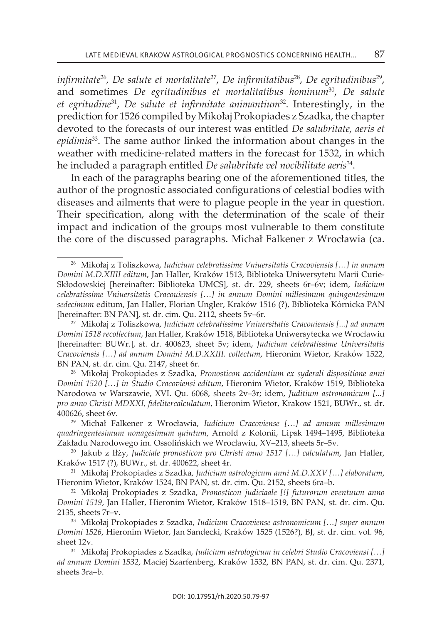*infirmitate*<sup>26</sup>*, De salute et mortalitate*<sup>27</sup>, *De infirmitatibus*28, *De egritudinibus*<sup>29</sup>, and sometimes *De egritudinibus et mortalitatibus hominum*<sup>30</sup>, *De salute et egritudine*<sup>31</sup>, *De salute et infirmitate animantium*<sup>32</sup>. interestingly, in the prediction for 1526 compiled by Mikołaj Prokopiades z Szadka, the chapter devoted to the forecasts of our interest was entitled *De salubritate, aeris et epidimia*33 . The same author linked the information about changes in the weather with medicine-related matters in the forecast for 1532, in which he included a paragraph entitled *De salubritate vel nocibilitate aeris*34 .

in each of the paragraphs bearing one of the aforementioned titles, the author of the prognostic associated configurations of celestial bodies with diseases and ailments that were to plague people in the year in question. Their specification, along with the determination of the scale of their impact and indication of the groups most vulnerable to them constitute the core of the discussed paragraphs. Michał Falkener z wrocławia (ca.

<sup>26</sup> Mikołaj z toliszkowa, *Iudicium celebratissime Vniuersitatis Cracoviensis […] in annum Domini M.D.XIIII editum*, jan Haller, kraków 1513, Biblioteka Uniwersytetu Marii curieskłodowskiej [hereinafter: Biblioteka UMcs], st. dr. 229, sheets 6r–6v; idem, *Iudicium celebratissime Vniuersitatis Cracouiensis […] in annum Domini millesimum quingentesimum sedecimum* editum, jan Haller, Florian Ungler, kraków 1516 (?), Biblioteka kórnicka Pan [hereinafter: BN PAN], st. dr. cim. Qu. 2112, sheets 5v–6r.

<sup>27</sup> Mikołaj z toliszkowa, *Judicium celebratissime Vniuersitatis Cracouiensis [...] ad annum Domini 1518 recollectum*, jan Haller, kraków 1518, Biblioteka Uniwersytecka we wrocławiu [hereinafter: BUwr.], st. dr. 400623, sheet 5v; idem, *Judicium celebratissime Universitatis Cracoviensis […] ad annum Domini M.D.XXIII. collectum*, Hieronim wietor, kraków 1522, Bn Pan, st. dr. cim. Qu. 2147, sheet 6r.

<sup>28</sup> Mikołaj Prokopiades z szadka, *Pronosticon accidentium ex syderali dispositione anni Domini 1520 […] in Studio Cracoviensi editum*, Hieronim wietor, kraków 1519, Biblioteka narodowa w warszawie, Xvi. Qu. 6068, sheets 2v–3r; idem, *Juditium astronomicum [...] pro anno Christi MDXXI, fidelitercalculatum*, Hieronim wietor, krakow 1521, BUwr., st. dr. 400626, sheet 6v.

<sup>29</sup>Michał Falkener z wrocławia, *Iudicium Cracoviense […] ad annum millesimum quadringentesimum nonagesimum quintum*, arnold z kolonii, lipsk 1494–1495, Biblioteka zakładu narodowego im. ossolińskich we wrocławiu, Xv–213, sheets 5r–5v.

<sup>30</sup> jakub z iłży, *Judiciale pronosticon pro Christi anno 1517 […] calculatum*, jan Haller, kraków 1517 (?), BUwr., st. dr. 400622, sheet 4r.

<sup>31</sup> Mikołaj Prokopiades z szadka, *Judicium astrologicum anni M.D.XXV […] elaboratum*, Hieronim wietor, kraków 1524, Bn Pan, st. dr. cim. Qu. 2152, sheets 6ra–b.

<sup>32</sup> Mikołaj Prokopiades z szadka, *Pronosticon judiciaale [!] futurorum eventuum anno Domini 1519*, jan Haller, Hieronim wietor, kraków 1518–1519, Bn Pan, st. dr. cim. Qu. 2135, sheets 7r–v.

<sup>33</sup> Mikołaj Prokopiades z szadka, *Iudicium Cracoviense astronomicum […] super annum Domini 1526*, Hieronim wietor, jan sandecki, kraków 1525 (1526?), Bj, st. dr. cim. vol. 96, sheet 12v.

<sup>&</sup>lt;sup>34</sup> Mikołaj Prokopiades z Szadka, *Judicium astrologicum in celebri Studio Cracoviensi* [...] *ad annum Domini 1532*, Maciej szarfenberg, kraków 1532, Bn Pan, st. dr. cim. Qu. 2371, sheets 3ra-b.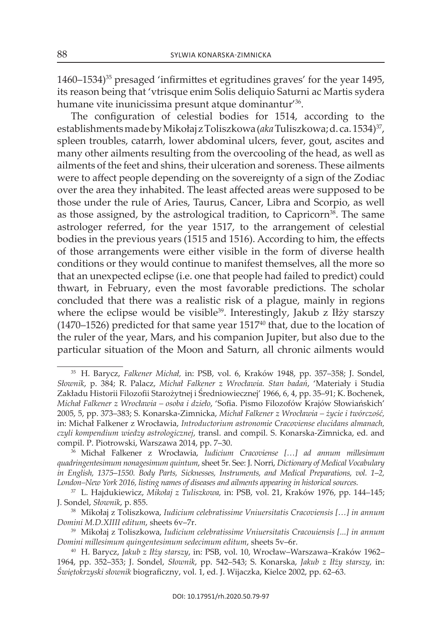1460–1534)35 presaged 'infirmittes et egritudines graves' for the year 1495, its reason being that 'vtrisque enim Solis deliquio Saturni ac Martis sydera humane vite inunicissima presunt atque dominantur<sup>'36</sup>.

The configuration of celestial bodies for 1514, according to the establishments made by Mikołaj z Toliszkowa (*aka* Tuliszkowa; d. ca. 1534)<sup>37</sup>, spleen troubles, catarrh, lower abdominal ulcers, fever, gout, ascites and many other ailments resulting from the overcooling of the head, as well as ailments of the feet and shins, their ulceration and soreness. these ailments were to affect people depending on the sovereignty of a sign of the zodiac over the area they inhabited. The least affected areas were supposed to be those under the rule of Aries, Taurus, Cancer, Libra and Scorpio, as well as those assigned, by the astrological tradition, to Capricorn<sup>38</sup>. The same astrologer referred, for the year 1517, to the arrangement of celestial bodies in the previous years (1515 and 1516). According to him, the effects of those arrangements were either visible in the form of diverse health conditions or they would continue to manifest themselves, all the more so that an unexpected eclipse (i.e. one that people had failed to predict) could thwart, in February, even the most favorable predictions. The scholar concluded that there was a realistic risk of a plague, mainly in regions where the eclipse would be visible<sup>39</sup>. Interestingly, Jakub z Iłży starszy (1470–1526) predicted for that same year  $1517^{40}$  that, due to the location of the ruler of the year, Mars, and his companion jupiter, but also due to the particular situation of the Moon and saturn, all chronic ailments would

<sup>&</sup>lt;sup>35</sup> H. Barycz, *Falkener Michał*, in: PSB, vol. 6, Kraków 1948, pp. 357–358; J. Sondel, *Słownik*, p. 384; R. Palacz, *Michał Falkener z Wrocławia. Stan badań*, 'Materiały i studia zakładu Historii Filozofii starożytnej i Średniowiecznej' 1966, 6, 4, pp. 35–91; k. Bochenek, *Michał Falkener z Wrocławia – osoba i dzieło*, 'sofia. Pismo Filozofów krajów słowiańskich' 2005, 5, pp. 373–383; s. konarska-zimnicka, *Michał Falkener z Wrocławia – życie i twórczość,* in: Michał Falkener z wrocławia, *Introductorium astronomie Cracoviense elucidans almanach, czyli kompendium wiedzy astrologicznej*, transl. and compil. s. konarska-zimnicka, ed. and compil. P. Piotrowski, warszawa 2014, pp. 7–30.

<sup>36</sup> Michał Falkener z wrocławia, *Iudicium Cracoviense […] ad annum millesimum quadringentesimum nonagesimum quintum*, sheet 5r. see: j. norri, *Dictionary of Medical Vocabulary in English, 1375*–*1550. Body Parts, Sicknesses, Instruments, and Medical Preparations, vol. 1*–*2, London–New York 2016, listing names of diseases and ailments appearing in historical sources.* 

<sup>37</sup> l. Hajdukiewicz, *Mikołaj z Tuliszkowa,* in: PsB, vol. 21, kraków 1976, pp. 144–145; j. sondel, *Słownik*, p. 855.

<sup>38</sup> Mikołaj z toliszkowa, *Iudicium celebratissime Vniuersitatis Cracoviensis […] in annum Domini M.D.XIIII editum*, sheets 6v–7r.

<sup>39</sup> Mikołaj z toliszkowa, *Iudicium celebratissime Vniuersitatis Cracouiensis [...] in annum Domini millesimum quingentesimum sedecimum editum*, sheets 5v–6r.

<sup>40</sup> H. Barycz, *Jakub z Iłży starszy*, in: PsB, vol. 10, wrocław–warszawa–kraków 1962– 1964, pp. 352–353; j. sondel, *Słownik*, pp. 542–543; s. konarska, *Jakub z Iłży starszy,* in: *Świętokrzyski słownik* biograficzny, vol. 1, ed. j. wijaczka, kielce 2002, pp. 62–63.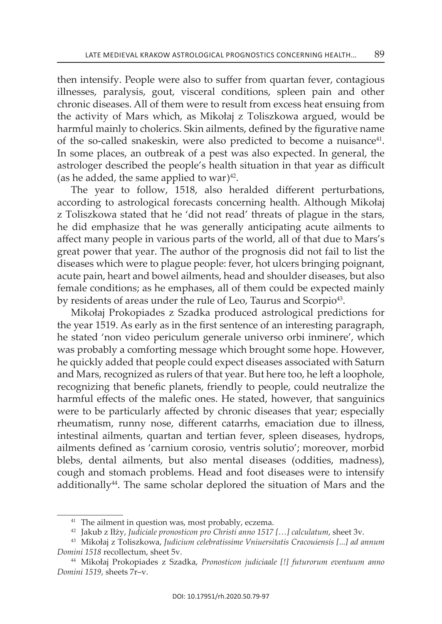then intensify. People were also to suffer from quartan fever, contagious illnesses, paralysis, gout, visceral conditions, spleen pain and other chronic diseases . All of them were to result from excess heat ensuing from the activity of Mars which, as Mikołaj z Toliszkowa argued, would be harmful mainly to cholerics. skin ailments, defined by the figurative name of the so-called snakeskin, were also predicted to become a nuisance<sup>41</sup>. In some places, an outbreak of a pest was also expected. In general, the astrologer described the people's health situation in that year as difficult (as he added, the same applied to war) $42$ .

The year to follow, 1518, also heralded different perturbations, according to astrological forecasts concerning health. although Mikołaj z Toliszkowa stated that he 'did not read' threats of plague in the stars, he did emphasize that he was generally anticipating acute ailments to affect many people in various parts of the world, all of that due to Mars's great power that year. The author of the prognosis did not fail to list the diseases which were to plague people: fever, hot ulcers bringing poignant, acute pain, heart and bowel ailments, head and shoulder diseases, but also female conditions; as he emphases, all of them could be expected mainly by residents of areas under the rule of Leo, Taurus and Scorpio<sup>43</sup>.

Mikołaj Prokopiades z szadka produced astrological predictions for the year 1519. As early as in the first sentence of an interesting paragraph, he stated 'non video periculum generale universo orbi inminere', which was probably a comforting message which brought some hope. However, he quickly added that people could expect diseases associated with Saturn and Mars, recognized as rulers of that year. But here too, he left a loophole, recognizing that benefic planets, friendly to people, could neutralize the harmful effects of the malefic ones. He stated, however, that sanguinics were to be particularly affected by chronic diseases that year; especially rheumatism, runny nose, different catarrhs, emaciation due to illness, intestinal ailments, quartan and tertian fever, spleen diseases, hydrops, ailments defined as 'carnium corosio, ventris solutio'; moreover, morbid blebs, dental ailments, but also mental diseases (oddities, madness), cough and stomach problems. Head and foot diseases were to intensify additionally<sup>44</sup>. The same scholar deplored the situation of Mars and the

<sup>&</sup>lt;sup>41</sup> The ailment in question was, most probably, eczema.

<sup>42</sup> jakub z iłży, *Judiciale pronosticon pro Christi anno 1517 […] calculatum*, sheet 3v.

<sup>43</sup> Mikołaj z toliszkowa, *Judicium celebratissime Vniuersitatis Cracouiensis [...] ad annum Domini 1518* recollectum, sheet 5v.

<sup>44</sup> Mikołaj Prokopiades z szadka, *Pronosticon judiciaale [!] futurorum eventuum anno Domini 1519*, sheets 7r–v.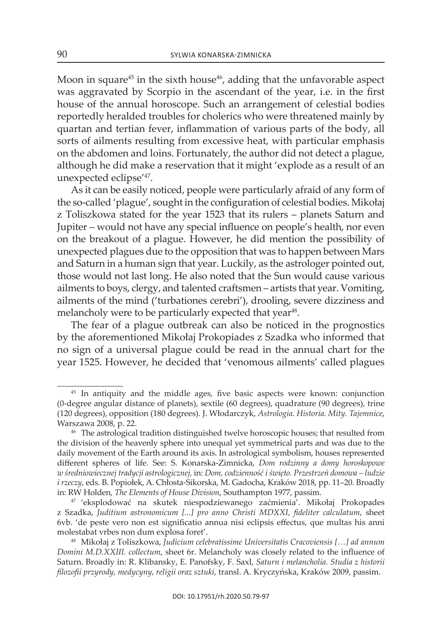Moon in square<sup>45</sup> in the sixth house<sup>46</sup>, adding that the unfavorable aspect was aggravated by scorpio in the ascendant of the year, i.e. in the first house of the annual horoscope. Such an arrangement of celestial bodies reportedly heralded troubles for cholerics who were threatened mainly by quartan and tertian fever, inflammation of various parts of the body, all sorts of ailments resulting from excessive heat, with particular emphasis on the abdomen and loins. Fortunately, the author did not detect a plague, although he did make a reservation that it might 'explode as a result of an unexpected eclipse<sup>'47</sup>.

As it can be easily noticed, people were particularly afraid of any form of the so-called 'plague', sought in the configuration of celestial bodies. Mikołaj z Toliszkowa stated for the year 1523 that its rulers – planets Saturn and jupiter – would not have any special influence on people's health, nor even on the breakout of a plague. However, he did mention the possibility of unexpected plagues due to the opposition that was to happen between Mars and Saturn in a human sign that year. Luckily, as the astrologer pointed out, those would not last long. He also noted that the Sun would cause various ailments to boys, clergy, and talented craftsmen – artists that year. vomiting, ailments of the mind ('turbationes cerebri'), drooling, severe dizziness and melancholy were to be particularly expected that year<sup>48</sup>.

The fear of a plague outbreak can also be noticed in the prognostics by the aforementioned Mikołaj Prokopiades z szadka who informed that no sign of a universal plague could be read in the annual chart for the year 1525. However, he decided that 'venomous ailments' called plagues

<sup>&</sup>lt;sup>45</sup> In antiquity and the middle ages, five basic aspects were known: conjunction (0-degree angular distance of planets), sextile (60 degrees), quadrature (90 degrees), trine (120 degrees), opposition (180 degrees). j. włodarczyk, *Astrologia. Historia. Mity. Tajemnice*, warszawa 2008, p. 22.

<sup>46</sup> The astrological tradition distinguished twelve horoscopic houses; that resulted from the division of the heavenly sphere into unequal yet symmetrical parts and was due to the daily movement of the Earth around its axis. In astrological symbolism, houses represented different spheres of life. see: s. konarska-zimnicka, *Dom rodzinny a domy horoskopowe w średniowiecznej tradycji astrologicznej,* in: *Dom, codzienność i święto. Przestrzeń domowa – ludzie i rzeczy*, eds. B. Popiołek, a. chłosta-sikorska, M. Gadocha, kraków 2018, pp. 11–20. Broadly in: Rw Holden, *The Elements of House Division*, southampton 1977, passim.

<sup>47</sup> 'eksplodować na skutek niespodziewanego zaćmienia'. Mikołaj Prokopades z szadka, *Juditium astronomicum [...] pro anno Christi MDXXI, fideliter calculatum*, sheet 6vb. 'de peste vero non est significatio annua nisi eclipsis effectus, que multas his anni molestabat vrbes non dum explosa foret' .

<sup>48</sup> Mikołaj z toliszkowa, *Judicium celebratissime Universitatis Cracoviensis […] ad annum Domini M.D.XXIII. collectum*, sheet 6r. Melancholy was closely related to the influence of saturn. Broadly in: R. klibansky, e. Panofsky, F. saxl, *Saturn i melancholia. Studia z historii filozofii przyrody, medycyny, religii oraz sztuki*, transl. a. kryczyńska, kraków 2009, passim.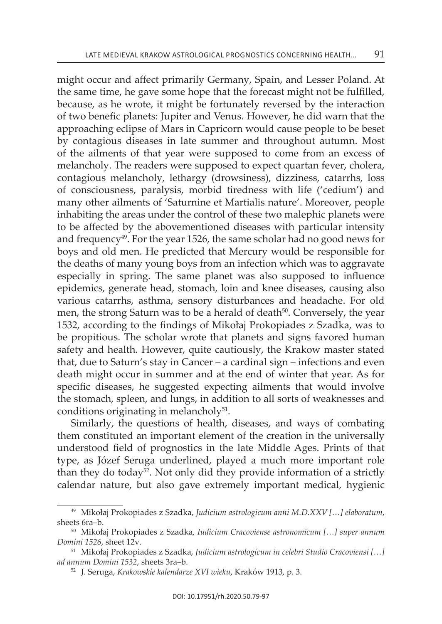might occur and affect primarily Germany, Spain, and Lesser Poland. At the same time, he gave some hope that the forecast might not be fulfilled, because, as he wrote, it might be fortunately reversed by the interaction of two benefic planets: jupiter and venus. However, he did warn that the approaching eclipse of Mars in capricorn would cause people to be beset by contagious diseases in late summer and throughout autumn . Most of the ailments of that year were supposed to come from an excess of melancholy. The readers were supposed to expect quartan fever, cholera, contagious melancholy, lethargy (drowsiness), dizziness, catarrhs, loss of consciousness, paralysis, morbid tiredness with life ('cedium') and many other ailments of 'saturnine et Martialis nature'. Moreover, people inhabiting the areas under the control of these two malephic planets were to be affected by the abovementioned diseases with particular intensity and frequency<sup>49</sup>. For the year 1526, the same scholar had no good news for boys and old men. He predicted that Mercury would be responsible for the deaths of many young boys from an infection which was to aggravate especially in spring. The same planet was also supposed to influence epidemics, generate head, stomach, loin and knee diseases, causing also various catarrhs, asthma, sensory disturbances and headache. For old men, the strong Saturn was to be a herald of death<sup>50</sup>. Conversely, the year 1532, according to the findings of Mikołaj Prokopiades z Szadka, was to be propitious . The scholar wrote that planets and signs favored human safety and health. However, quite cautiously, the krakow master stated that, due to Saturn's stay in Cancer – a cardinal sign – infections and even death might occur in summer and at the end of winter that year . As for specific diseases, he suggested expecting ailments that would involve the stomach, spleen, and lungs, in addition to all sorts of weaknesses and conditions originating in melancholy $51$ .

similarly, the questions of health, diseases, and ways of combating them constituted an important element of the creation in the universally understood field of prognostics in the late Middle ages. Prints of that type, as józef seruga underlined, played a much more important role than they do today<sup>52</sup>. Not only did they provide information of a strictly calendar nature, but also gave extremely important medical, hygienic

<sup>49</sup> Mikołaj Prokopiades z szadka, *Judicium astrologicum anni M.D.XXV […] elaboratum*, sheets 6ra-b.

<sup>50</sup> Mikołaj Prokopiades z szadka, *Iudicium Cracoviense astronomicum […] super annum Domini 1526*, sheet 12v.

<sup>&</sup>lt;sup>51</sup> Mikołaj Prokopiades z Szadka, *Judicium astrologicum in celebri Studio Cracoviensi* [...] *ad annum Domini 1532*, sheets 3ra–b.

<sup>52</sup> j. seruga, *Krakowskie kalendarze XVI wieku*, kraków 1913, p. 3.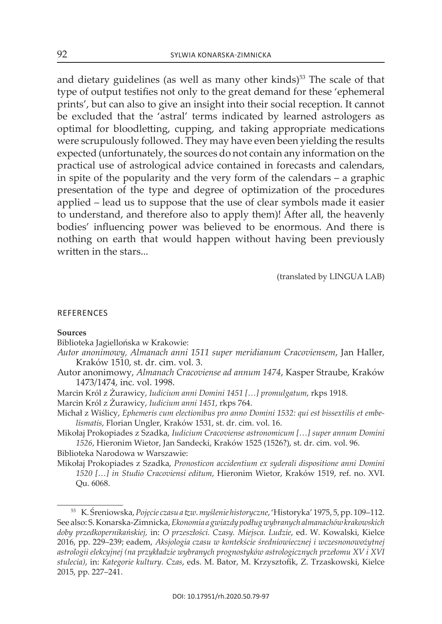and dietary guidelines (as well as many other kinds)<sup>53</sup> The scale of that type of output testifies not only to the great demand for these 'ephemeral prints', but can also to give an insight into their social reception. it cannot be excluded that the 'astral' terms indicated by learned astrologers as optimal for bloodletting, cupping, and taking appropriate medications were scrupulously followed. They may have even been yielding the results expected (unfortunately, the sources do not contain any information on the practical use of astrological advice contained in forecasts and calendars, in spite of the popularity and the very form of the calendars – a graphic presentation of the type and degree of optimization of the procedures applied – lead us to suppose that the use of clear symbols made it easier to understand, and therefore also to apply them)! After all, the heavenly bodies' influencing power was believed to be enormous. And there is nothing on earth that would happen without having been previously written in the stars...

(translated by linGuA lAB)

#### **REFERENCES**

## **sources**

Biblioteka jagiellońska w krakowie:

- *Autor anonimowy, Almanach anni 1511 super meridianum Cracoviensem*, jan Haller, kraków 1510, st. dr. cim. vol. 3.
- autor anonimowy, *Almanach Cracoviense ad annum 1474*, kasper straube, kraków 1473/1474, inc. vol. 1998.
- Marcin król z Żurawicy, *Iudicium anni Domini 1451 […] promulgatum*, rkps 1918.
- Marcin król z Żurawicy, *Iudicium anni 1451*, rkps 764.
- Michał z wiślicy, *Ephemeris cum electionibus pro anno Domini 1532: qui est bissextilis et embelismatis*, Florian Ungler, kraków 1531, st. dr. cim. vol. 16.
- Mikołaj Prokopiades z szadka, *Iudicium Cracoviense astronomicum […] super annum Domini 1526*, Hieronim wietor, jan sandecki, kraków 1525 (1526?), st. dr. cim. vol. 96.

Biblioteka narodowa w warszawie:

Mikołaj Prokopiades z szadka, *Pronosticon accidentium ex syderali dispositione anni Domini 1520 […] in Studio Cracoviensi editum*, Hieronim wietor, kraków 1519, ref. no. Xvi. Qu. 6068.

<sup>53</sup> k. Śreniowska, *Pojęcie czasu a tzw. myślenie historyczne*, 'Historyka' 1975, 5, pp. 109–112. see also: s. konarska-zimnicka, *Ekonomia a gwiazdy podług wybranych almanachów krakowskich doby przedkopernikańskiej,* in: *O przeszłości. Czasy. Miejsca. Ludzie*, ed. w. kowalski, kielce 2016, pp. 229–239; eadem, *Aksjologia czasu w kontekście średniowiecznej i wczesnonowożytnej astrologii elekcyjnej (na przykładzie wybranych prognostyków astrologicznych przełomu XV i XVI stulecia)*, in: *Kategorie kultury. Czas*, eds. M. Bator, M. krzysztofik, z. trzaskowski, kielce 2015, pp. 227–241.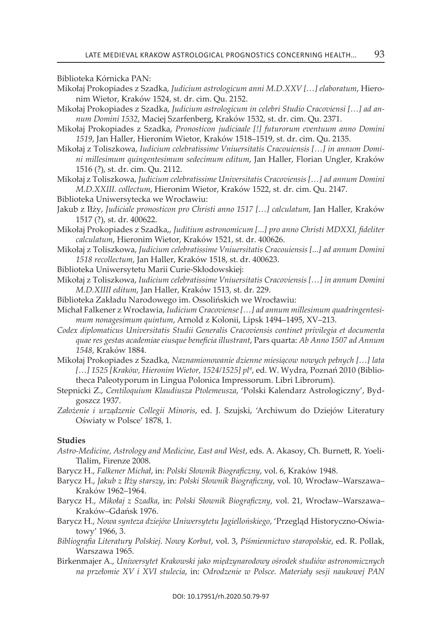Biblioteka kórnicka Pan:

- Mikołaj Prokopiades z szadka, *Judicium astrologicum anni M.D.XXV […] elaboratum*, Hieronim wietor, kraków 1524, st. dr. cim. Qu. 2152.
- Mikołaj Prokopiades z szadka, *Judicium astrologicum in celebri Studio Cracoviensi […] ad annum Domini 1532*, Maciej szarfenberg, kraków 1532, st. dr. cim. Qu. 2371.
- Mikołaj Prokopiades z szadka, *Pronosticon judiciaale [!] futurorum eventuum anno Domini 1519*, jan Haller, Hieronim wietor, kraków 1518–1519, st. dr. cim. Qu. 2135.
- Mikołaj z toliszkowa, *Iudicium celebratissime Vniuersitatis Cracouiensis […] in annum Domini millesimum quingentesimum sedecimum editum*, jan Haller, Florian Ungler, kraków 1516 (?), st. dr. cim. Qu. 2112.
- Mikołaj z toliszkowa, *Judicium celebratissime Universitatis Cracoviensis […] ad annum Domini M.D.XXIII. collectum*, Hieronim wietor, kraków 1522, st. dr. cim. Qu. 2147.
- Biblioteka Uniwersytecka we wrocławiu:
- jakub z iłży, *Judiciale pronosticon pro Christi anno 1517 […] calculatum*, jan Haller, kraków 1517 (?), st. dr. 400622.
- Mikołaj Prokopiades z szadka,, *Juditium astronomicum [...] pro anno Christi MDXXI, fideliter calculatum*, Hieronim wietor, kraków 1521, st. dr. 400626.
- Mikołaj z toliszkowa, *Judicium celebratissime Vniuersitatis Cracouiensis [...] ad annum Domini 1518 recollectum*, jan Haller, kraków 1518, st. dr. 400623.
- Biblioteka Uniwersytetu Marii curie-skłodowskiej:
- Mikołaj z toliszkowa, *Iudicium celebratissime Vniuersitatis Cracoviensis […] in annum Domini M.D.XIIII editum*, jan Haller, kraków 1513, st. dr. 229.
- Biblioteka Zakładu Narodowego im. Ossolińskich we Wrocławiu:
- Michał Falkener z wrocławia, *Iudicium Cracoviense […] ad annum millesimum quadringentesimum nonagesimum quintum*, arnold z kolonii, lipsk 1494–1495, Xv–213.
- *Codex diplomaticus Universitatis Studii Generalis Cracoviensis continet privilegia et documenta quae res gestas academiae eiusque beneficia illustrant*, Pars quarta: *Ab Anno 1507 ad Annum 1548*, kraków 1884.
- Mikołaj Prokopiades z szadka, *Naznamionowanie dzienne miesiącow nowych pełnych […] lata […] 1525 [Kraków, Hieronim Wietor, 1524/1525] plº*, ed. w. wydra, Poznań 2010 (Bibliotheca Paleotyporum in Lingua Polonica Impressorum. Libri Librorum).
- stepnicki z., *Centiloquium Klaudiusza Ptolemeusza*, 'Polski kalendarz astrologiczny', Bydgoszcz 1937 .
- *Założenie i urządzenie Collegii Minoris*, ed. j. szujski, 'archiwum do Dziejów literatury oświaty w Polsce' 1878, 1.

## **studies**

- *Astro-Medicine, Astrology and Medicine, East and West*, eds. a. akasoy, ch. Burnett, R. yoeli-Tlalim, Firenze 2008.
- Barycz H., *Falkener Michał*, in: *Polski Słownik Biograficzny*, vol. 6, kraków 1948.
- Barycz H., *Jakub z Iłży starszy*, in: *Polski Słownik Biograficzny*, vol. 10, wrocław–warszawa– kraków 1962–1964.
- Barycz H., *Mikołaj z Szadka*, in: *Polski Słownik Biograficzny*, vol. 21, wrocław–warszawa– kraków–Gdańsk 1976.
- Barycz H., *Nowa synteza dziejów Uniwersytetu Jagiellońskiego*, 'Przegląd Historyczno-oświatowy' 1966, 3.
- *Bibliografia Literatury Polskiej. Nowy Korbut*, vol. 3, *Piśmiennictwo staropolskie*, ed. R. Pollak, Warszawa 1965.
- Birkenmajer A., *Uniwersytet Krakowski jako międzynarodowy ośrodek studiów astronomicznych na przełomie XV i XVI stulecia*, in: *Odrodzenie w Polsce. Materiały sesji naukowej PAN*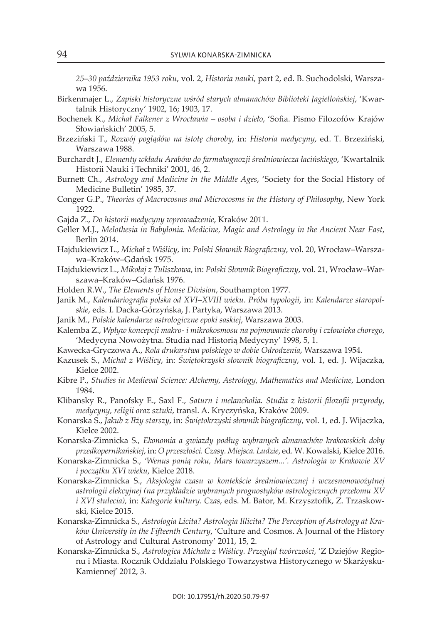*25*–*30 października 1953 roku*, vol. 2, *Historia nauki*, part 2, ed. B. suchodolski, warszawa 1956.

- Birkenmajer l., *Zapiski historyczne wśród starych almanachów Biblioteki Jagiellońskiej*, 'kwartalnik Historyczny' 1902, 16; 1903, 17.
- Bochenek k., *Michał Falkener z Wrocławia osoba i dzieło*, 'sofia. Pismo Filozofów krajów słowiańskich' 2005, 5.
- Brzeziński t., *Rozwój poglądów na istotę choroby*, in: *Historia medycyny*, ed. t. Brzeziński, warszawa 1988.
- Burchardt j., *Elementy wkładu Arabów do farmakognozji średniowiecza łacińskiego*, 'kwartalnik Historii Nauki i Techniki' 2001, 46, 2.
- Burnett ch., *Astrology and Medicine in the Middle Ages*, 'society for the social History of Medicine Bulletin' 1985, 37.
- conger G.P., *Theories of Macrocosms and Microcosms in the History of Philosophy*, new york 1922.
- Gajda z., *Do historii medycyny wprowadzenie*, kraków 2011.
- Geller M.j., *Melothesia in Babylonia. Medicine, Magic and Astrology in the Ancient Near East*, Berlin 2014.
- Hajdukiewicz l., *Michał z Wiślicy,* in: *Polski Słownik Biograficzny*, vol. 20, wrocław–warszawa–kraków–Gdańsk 1975.
- Hajdukiewicz l., *Mikołaj z Tuliszkowa*, in: *Polski Słownik Biograficzny*, vol. 21, wrocław–warszawa–kraków–Gdańsk 1976.
- Holden R.w., *The Elements of House Division*, southampton 1977.
- janik M., *Kalendariografia polska od XVI*–*XVIII wieku. Próba typologii*, in: *Kalendarze staropolskie*, eds. i. Dacka-Górzyńska, j. Partyka, warszawa 2013.
- janik M., *Polskie kalendarze astrologiczne epoki saskiej*, warszawa 2003.
- kalemba z., *Wpływ koncepcji makro- i mikrokosmosu na pojmowanie choroby i człowieka chorego*, 'Medycyna Nowożytna. Studia nad Historią Medycyny' 1998, 5, 1.
- kawecka-Gryczowa a., *Rola drukarstwa polskiego w dobie Odrodzenia*, warszawa 1954.
- kazusek s., *Michał z Wiślicy*, in: *Świętokrzyski słownik biograficzny*, vol. 1, ed. j. wijaczka, kielce 2002.
- kibre P., *Studies in Medieval Science: Alchemy, Astrology, Mathematics and Medicine*, london 1984.
- klibansky R., Panofsky e., saxl F., *Saturn i melancholia. Studia z historii filozofii przyrody*, *medycyny, religii oraz sztuki*, transl. a. kryczyńska, kraków 2009.
- konarska s., *Jakub z Iłży starszy*, in: *Świętokrzyski słownik biograficzny*, vol. 1, ed. j. wijaczka, kielce 2002.
- konarska-zimnicka s., *Ekonomia a gwiazdy podług wybranych almanachów krakowskich doby przedkopernikańskiej*, in: *O przeszłości. Czasy. Miejsca. Ludzie*, ed. w. kowalski, kielce 2016.
- konarska-zimnicka s., *'Wenus panią roku, Mars towarzyszem...'. Astrologia w Krakowie XV i początku XVI wieku*, kielce 2018.
- konarska-zimnicka s., *Aksjologia czasu w kontekście średniowiecznej i wczesnonowożytnej astrologii elekcyjnej (na przykładzie wybranych prognostyków astrologicznych przełomu XV i XVI stulecia),* in: *Kategorie kultury. Czas*, eds. M. Bator, M. krzysztofik, z. trzaskowski, kielce 2015.
- konarska-zimnicka s., *Astrologia Licita? Astrologia Illicita? The Perception of Astrology at Kraków University in the Fifteenth Century*, 'culture and cosmos. a journal of the History of astrology and cultural astronomy' 2011, 15, 2.
- konarska-zimnicka s., *Astrologica Michała z Wiślicy. Przegląd twórczości*, 'z Dziejów Regionu i Miasta. Rocznik Oddziału Polskiego Towarzystwa Historycznego w Skarżyskukamiennej' 2012, 3.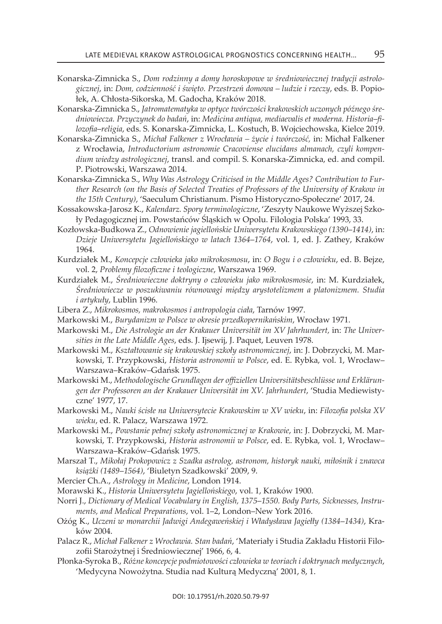- konarska-zimnicka s., *Dom rodzinny a domy horoskopowe w średniowiecznej tradycji astrologicznej*, in: *Dom, codzienność i święto. Przestrzeń domowa – ludzie i rzeczy*, eds. B. Popiołek, A. Chłosta-Sikorska, M. Gadocha, Kraków 2018.
- konarska-zimnicka s., *Jatromatematyka w optyce twórczości krakowskich uczonych późnego średniowiecza. Przyczynek do badań*, in: *Medicina antiqua, mediaevalis et moderna. Historia*–*filozofia*–*religia*, eds. s. konarska-zimnicka, l. kostuch, B. wojciechowska, kielce 2019.
- konarska-zimnicka s., *Michał Falkener z Wrocławia życie i twórczość,* in: Michał Falkener z wrocławia, *Introductorium astronomie Cracoviense elucidans almanach, czyli kompendium wiedzy astrologicznej*, transl. and compil. s. konarska-zimnicka, ed. and compil. P. Piotrowski, warszawa 2014.
- konarska-zimnicka s., *Why Was Astrology Criticised in the Middle Ages? Contribution to Further Research (on the Basis of Selected Treaties of Professors of the University of Krakow in the 15th Century)*, 'saeculum christianum. Pismo Historyczno-społeczne' 2017, 24.
- kossakowska-jarosz k., *Kalendarz. Spory terminologiczne*, 'zeszyty naukowe wyższej szkoły Pedagogicznej im. Powstańców Śląskich w Opolu. Filologia Polska' 1993, 33.
- kozłowska-Budkowa z., *Odnowienie jagiellońskie Uniwersytetu Krakowskiego (1390*–*1414)*, in: *Dzieje Uniwersytetu Jagiellońskiego w latach 1364*–*1764*, vol. 1, ed. j. zathey, kraków 1964.
- kurdziałek M., *Koncepcje człowieka jako mikrokosmosu*, in: *O Bogu i o człowieku*, ed. B. Bejze, vol. 2, *Problemy filozoficzne i teologiczne*, warszawa 1969.
- kurdziałek M., *Średniowieczne doktryny o człowieku jako mikrokosmosie*, in: M. kurdziałek, *Średniowiecze w poszukiwaniu równowagi między arystotelizmem a platonizmem. Studia i artykuły*, lublin 1996.
- libera z., *Mikrokosmos, makrokosmos i antropologia ciała*, tarnów 1997.
- Markowski M., *Burydanizm w Polsce w okresie przedkopernikańskim*, wrocław 1971.
- Markowski M., *Die Astrologie an der Krakauer Universität im XV Jahrhundert,* in: *The Universities in the Late Middle Ages*, eds. j. ijsewij, j. Paquet, leuven 1978.
- Markowski M., *Kształtowanie się krakowskiej szkoły astronomicznej*, in: j. Dobrzycki, M. Markowski, T. Przypkowski, *Historia astronomii w Polsce*, ed. E. Rybka, vol. 1, Wrocławwarszawa–kraków–Gdańsk 1975.
- Markowski M., *Methodologische Grundlagen der offiziellen Universitätsbeschlüsse und Erklärungen der Professoren an der Krakauer Universität im XV. Jahrhundert*, 'studia Mediewistyczne' 1977, 17.
- Markowski M., *Nauki ścisłe na Uniwersytecie Krakowskim w XV wieku*, in: *Filozofia polska XV wieku*, ed. R. Palacz, warszawa 1972.
- Markowski M., *Powstanie pełnej szkoły astronomicznej w Krakowie*, in: j. Dobrzycki, M. Markowski, t. Przypkowski, *Historia astronomii w Polsce*, ed. e. Rybka, vol. 1, wrocław– warszawa–kraków–Gdańsk 1975.
- Marszał t., *Mikołaj Prokopowicz z Szadka astrolog, astronom, historyk nauki, miłośnik i znawca książki (1489*–*1564)*, 'Biuletyn szadkowski' 2009, 9.
- Mercier ch.a., *Astrology in Medicine*, london 1914.
- Morawski k., *Historia Uniwersytetu Jagiellońskiego*, vol. 1, kraków 1900.
- norri j., *Dictionary of Medical Vocabulary in English, 1375*–*1550. Body Parts, Sicknesses, Instruments, and Medical Preparations, vol. 1–2, London–New York 2016.*
- ożóg k., *Uczeni w monarchii Jadwigi Andegaweńskiej i Władysława Jagiełły (1384*–*1434)*, kraków 2004.
- Palacz R., *Michał Falkener z Wrocławia. Stan badań*, 'Materiały i studia zakładu Historii Filozofii starożytnej i Średniowiecznej' 1966, 6, 4.
- Płonka-syroka B., *Różne koncepcje podmiotowości człowieka w teoriach i doktrynach medycznych*, 'Medycyna Nowożytna. Studia nad Kulturą Medyczną' 2001, 8, 1.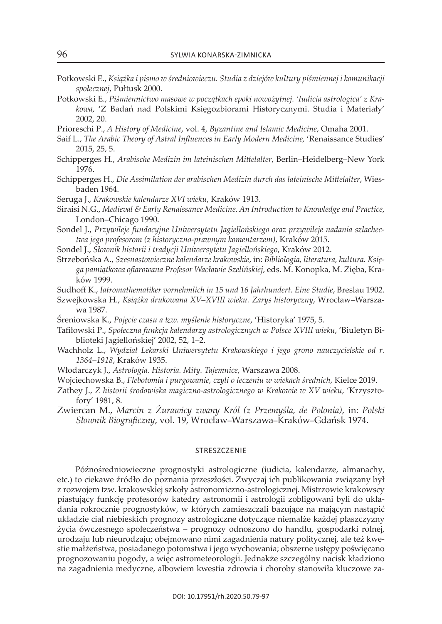- Potkowski e., *Książka i pismo w średniowieczu. Studia z dziejów kultury piśmiennej i komunikacji społecznej*, Pułtusk 2000.
- Potkowski e., *Piśmiennictwo masowe w początkach epoki nowożytnej. 'Iudicia astrologica' z Krakowa*, 'z Badań nad Polskimi księgozbiorami Historycznymi. studia i Materiały' 2002, 20.
- Prioreschi P., *A History of Medicine*, vol. 4, *Byzantine and Islamic Medicine*, omaha 2001.
- Saif L., *The Arabic Theory of Astral Influences in Early Modern Medicine*, 'Renaissance Studies' 2015, 25, 5.
- schipperges H., *Arabische Medizin im lateinischen Mittelalter*, Berlin–Heidelberg–new york 1976.
- schipperges H., *Die Assimilation der arabischen Medizin durch das lateinische Mittelalter*, wiesbaden 1964 .
- seruga j., *Krakowskie kalendarze XVI wieku*, kraków 1913.
- siraisi n.G., *Medieval & Early Renaissance Medicine. An Introduction to Knowledge and Practice*, London–Chicago 1990.
- sondel j., *Przywileje fundacyjne Uniwersytetu Jagiellońskiego oraz przywileje nadania szlachectwa jego profesorom (z historyczno-prawnym komentarzem)*, kraków 2015.
- sondel j., *Słownik historii i tradycji Uniwersytetu Jagiellońskiego*, kraków 2012.
- strzebońska a., *Szesnastowieczne kalendarze krakowskie*, in: *Bibliologia, literatura, kultura. Księga pamiątkowa ofiarowana Profesor Wacławie Szelińskiej*, eds. M. konopka, M. zięba, kraków 1999.

sudhoff k., *Iatromathematiker vornehmlich in 15 und 16 Jahrhundert. Eine Studie*, Breslau 1902.

- szwejkowska H., *Książka drukowana XV*–*XVIII wieku. Zarys historyczny*, wrocław–warszawa 1987.
- Śreniowska k., *Pojęcie czasu a tzw. myślenie historyczne*, 'Historyka' 1975, 5.
- tafiłowski P., *Społeczna funkcja kalendarzy astrologicznych w Polsce XVIII wieku*, 'Biuletyn Biblioteki jagiellońskiej' 2002, 52, 1–2.
- wachholz l., *Wydział Lekarski Uniwersytetu Krakowskiego i jego grono nauczycielskie od r. 1364*–*1918*, kraków 1935.
- włodarczyk j., *Astrologia. Historia. Mity. Tajemnice*, warszawa 2008.
- wojciechowska B., *Flebotomia i purgowanie, czyli o leczeniu w wiekach średnich*, kielce 2019.
- zathey j., *Z historii środowiska magiczno-astrologicznego w Krakowie w XV wieku*, 'krzysztofory' 1981, 8.
- zwiercan M., *Marcin z Żurawicy zwany Król (z Przemyśla, de Polonia)*, in: *Polski Słownik Biograficzny*, vol. 19, wrocław–Warszawa–kraków–Gdańsk 1974.

## streszczenie

Późnośredniowieczne prognostyki astrologiczne (iudicia, kalendarze, almanachy, etc.) to ciekawe źródło do poznania przeszłości. zwyczaj ich publikowania związany był z rozwojem tzw. krakowskiej szkoły astronomiczno-astrologicznej. Mistrzowie krakowscy piastujący funkcję profesorów katedry astronomii i astrologii zobligowani byli do układania rokrocznie prognostyków, w których zamieszczali bazujące na mającym nastąpić układzie ciał niebieskich prognozy astrologiczne dotyczące niemalże każdej płaszczyzny życia ówczesnego społeczeństwa – prognozy odnoszono do handlu, gospodarki rolnej, urodzaju lub nieurodzaju; obejmowano nimi zagadnienia natury politycznej, ale też kwestie małżeństwa, posiadanego potomstwa i jego wychowania; obszerne ustępy poświęcano prognozowaniu pogody, a więc astrometeorologii. jednakże szczególny nacisk kładziono na zagadnienia medyczne, albowiem kwestia zdrowia i choroby stanowiła kluczowe za-